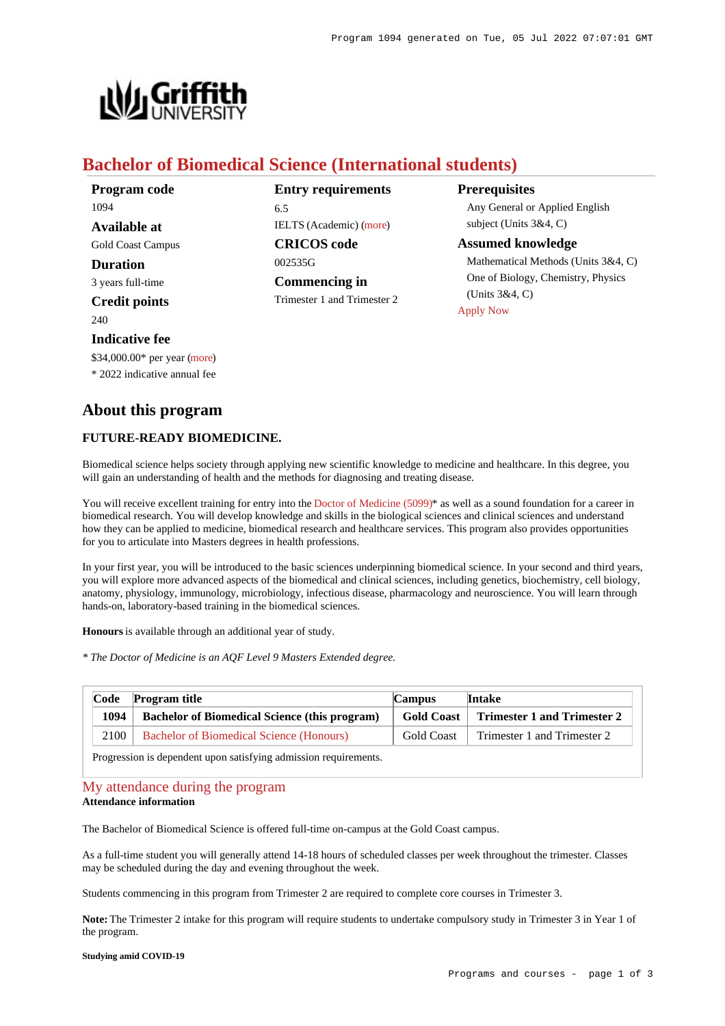

# **Bachelor of Biomedical Science (International students)**

**Entry requirements** 6.5 IELTS (Academic) [\(more](https://www148.griffith.edu.au/programs-courses/Program/1094/HowToApply/International#language)) **CRICOS code** 002535G **Commencing in** Trimester 1 and Trimester 2 **Prerequisites**

Any General or Applied English subject (Units 3&4, C)

### **Assumed knowledge**

Mathematical Methods (Units 3&4, C) One of Biology, Chemistry, Physics (Units 3&4, C) [Apply Now](https://www148.griffith.edu.au/programs-courses/Program/1094/HowToApply/International#process)

# **About this program**

\$34,000.00\* per year [\(more](https://www148.griffith.edu.au/programs-courses/Program/1094/Overview/International#fees)) \* 2022 indicative annual fee

## **FUTURE-READY BIOMEDICINE.**

Biomedical science helps society through applying new scientific knowledge to medicine and healthcare. In this degree, you will gain an understanding of health and the methods for diagnosing and treating disease.

You will receive excellent training for entry into the [Doctor of Medicine \(5099\)](https://www148.griffith.edu.au/Search/Results?SearchText=5099)\* as well as a sound foundation for a career in biomedical research. You will develop knowledge and skills in the biological sciences and clinical sciences and understand how they can be applied to medicine, biomedical research and healthcare services. This program also provides opportunities for you to articulate into Masters degrees in health professions.

In your first year, you will be introduced to the basic sciences underpinning biomedical science. In your second and third years, you will explore more advanced aspects of the biomedical and clinical sciences, including genetics, biochemistry, cell biology, anatomy, physiology, immunology, microbiology, infectious disease, pharmacology and neuroscience. You will learn through hands-on, laboratory-based training in the biomedical sciences.

**Honours** is available through an additional year of study.

*\* The Doctor of Medicine is an AQF Level 9 Masters Extended degree.*

| Code   | <b>Program title</b>                                 | <b>Campus</b>     | <b>Intake</b>               |
|--------|------------------------------------------------------|-------------------|-----------------------------|
| 1094   | <b>Bachelor of Biomedical Science (this program)</b> | Gold Coast 1      | Trimester 1 and Trimester 2 |
| 2100 l | <b>Bachelor of Biomedical Science (Honours)</b>      | <b>Gold Coast</b> | Trimester 1 and Trimester 2 |

Progression is dependent upon satisfying admission requirements.

[My attendance during the program](https://www148.griffith.edu.au/programs-courses/Program/1094/Overview/International#attendance) **Attendance information**

The Bachelor of Biomedical Science is offered full-time on-campus at the Gold Coast campus.

As a full-time student you will generally attend 14-18 hours of scheduled classes per week throughout the trimester. Classes may be scheduled during the day and evening throughout the week.

Students commencing in this program from Trimester 2 are required to complete core courses in Trimester 3.

**Note:** The Trimester 2 intake for this program will require students to undertake compulsory study in Trimester 3 in Year 1 of the program.

**Studying amid COVID-19**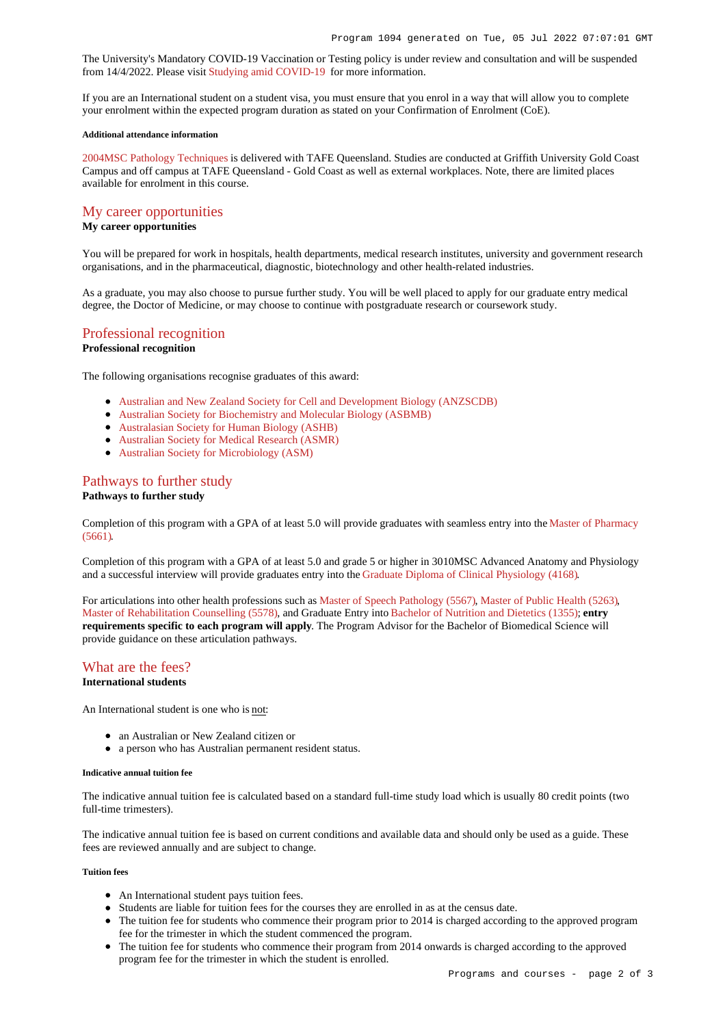The University's Mandatory COVID-19 Vaccination or Testing policy is under review and consultation and will be suspended from 14/4/2022. Please visit [Studying amid COVID-19](https://www.griffith.edu.au/coronavirus/studying-amid-covid-19) for more information.

If you are an International student on a student visa, you must ensure that you enrol in a way that will allow you to complete your enrolment within the expected program duration as stated on your Confirmation of Enrolment (CoE).

#### **Additional attendance information**

[2004MSC Pathology Techniques](https://www148.griffith.edu.au/Course/2004MSC) is delivered with TAFE Queensland. Studies are conducted at Griffith University Gold Coast Campus and off campus at TAFE Queensland - Gold Coast as well as external workplaces. Note, there are limited places available for enrolment in this course.

### [My career opportunities](https://www148.griffith.edu.au/programs-courses/Program/1094/Overview/International#opportunities)

## **My career opportunities**

You will be prepared for work in hospitals, health departments, medical research institutes, university and government research organisations, and in the pharmaceutical, diagnostic, biotechnology and other health-related industries.

As a graduate, you may also choose to pursue further study. You will be well placed to apply for our graduate entry medical degree, the Doctor of Medicine, or may choose to continue with postgraduate research or coursework study.

#### [Professional recognition](https://www148.griffith.edu.au/programs-courses/Program/1094/Overview/International#recognition)

#### **Professional recognition**

The following organisations recognise graduates of this award:

- [Australian and New Zealand Society for Cell and Development Biology \(ANZSCDB\)](http://www.anzscdb.org/)
- [Australian Society for Biochemistry and Molecular Biology \(ASBMB\)](https://www.asbmb.org.au/)
- [Australasian Society for Human Biology \(ASHB\)](http://school.anhb.uwa.edu.au/ashb/)
- [Australian Society for Medical Research \(ASMR\)](http://www.asmr.org.au/)
- [Australian Society for Microbiology \(ASM\)](http://www.theasm.org.au/)

#### [Pathways to further study](https://www148.griffith.edu.au/programs-courses/Program/1094/Overview/International#pathways)

#### **Pathways to further study**

Completion of this program with a GPA of at least 5.0 will provide graduates with seamless entry into the [Master of Pharmacy](https://www148.griffith.edu.au/Search/Results?SearchText=5661) [\(5661\)](https://www148.griffith.edu.au/Search/Results?SearchText=5661).

Completion of this program with a GPA of at least 5.0 and grade 5 or higher in 3010MSC Advanced Anatomy and Physiology and a successful interview will provide graduates entry into the [Graduate Diploma of Clinical Physiology \(4168\)](https://www148.griffith.edu.au/Search/Results?SearchText=4168).

For articulations into other health professions such as [Master of Speech Pathology \(5567\)](https://www148.griffith.edu.au/Search/Results?SearchText=5567), [Master of Public Health \(5263\)](https://www148.griffith.edu.au/Search/Results?SearchText=5263), [Master of Rehabilitation Counselling \(5578\)](https://www148.griffith.edu.au/Search/Results?SearchText=5578), and Graduate Entry into [Bachelor of Nutrition and Dietetics \(1355\)](https://www148.griffith.edu.au/Search/Results?SearchText=1355); **entry requirements specific to each program will apply**. The Program Advisor for the Bachelor of Biomedical Science will provide guidance on these articulation pathways.

# [What are the fees?](https://www148.griffith.edu.au/programs-courses/Program/1094/Overview/International#fees)

## **International students**

An International student is one who is not:

- an Australian or New Zealand citizen or
- a person who has Australian permanent resident status.

#### **Indicative annual tuition fee**

The indicative annual tuition fee is calculated based on a standard full-time study load which is usually 80 credit points (two full-time trimesters).

The indicative annual tuition fee is based on current conditions and available data and should only be used as a guide. These fees are reviewed annually and are subject to change.

### **Tuition fees**

- An International student pays tuition fees.
- Students are liable for tuition fees for the courses they are enrolled in as at the census date.
- The tuition fee for students who commence their program prior to 2014 is charged according to the approved program fee for the trimester in which the student commenced the program.
- The tuition fee for students who commence their program from 2014 onwards is charged according to the approved program fee for the trimester in which the student is enrolled.